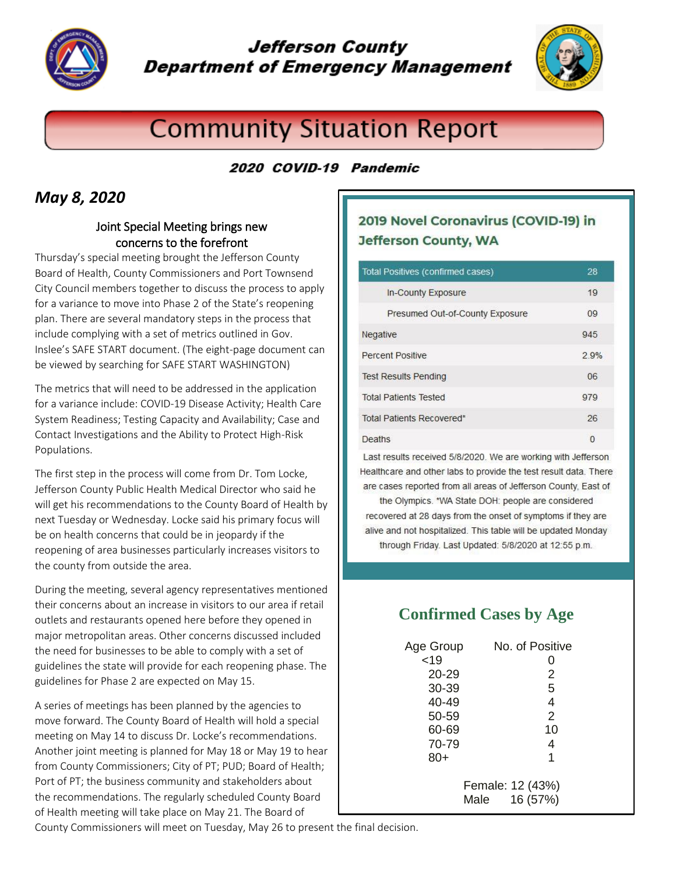

# **Jefferson County Department of Emergency Management**



# **Community Situation Report**

#### 2020 COVID-19 Pandemic

### *May 8, 2020*

#### Joint Special Meeting brings new concerns to the forefront

Thursday's special meeting brought the Jefferson County Board of Health, County Commissioners and Port Townsend City Council members together to discuss the process to apply for a variance to move into Phase 2 of the State's reopening plan. There are several mandatory steps in the process that include complying with a set of metrics outlined in Gov. Inslee's SAFE START document. (The eight-page document can be viewed by searching for SAFE START WASHINGTON)

The metrics that will need to be addressed in the application for a variance include: COVID-19 Disease Activity; Health Care System Readiness; Testing Capacity and Availability; Case and Contact Investigations and the Ability to Protect High-Risk Populations.

The first step in the process will come from Dr. Tom Locke, Jefferson County Public Health Medical Director who said he will get his recommendations to the County Board of Health by next Tuesday or Wednesday. Locke said his primary focus will be on health concerns that could be in jeopardy if the reopening of area businesses particularly increases visitors to the county from outside the area.

During the meeting, several agency representatives mentioned their concerns about an increase in visitors to our area if retail outlets and restaurants opened here before they opened in major metropolitan areas. Other concerns discussed included the need for businesses to be able to comply with a set of guidelines the state will provide for each reopening phase. The guidelines for Phase 2 are expected on May 15.

A series of meetings has been planned by the agencies to move forward. The County Board of Health will hold a special meeting on May 14 to discuss Dr. Locke's recommendations. Another joint meeting is planned for May 18 or May 19 to hear from County Commissioners; City of PT; PUD; Board of Health; Port of PT; the business community and stakeholders about the recommendations. The regularly scheduled County Board of Health meeting will take place on May 21. The Board of

#### 2019 Novel Coronavirus (COVID-19) in **Jefferson County, WA**

| Total Positives (confirmed cases) | 28   |
|-----------------------------------|------|
| In-County Exposure                | 19   |
| Presumed Out-of-County Exposure   | 09   |
| Negative                          | 945  |
| <b>Percent Positive</b>           | 2.9% |
| <b>Test Results Pending</b>       | 06   |
| <b>Total Patients Tested</b>      | 979  |
| <b>Total Patients Recovered*</b>  | 26   |
| Deaths                            | 0    |

Last results received 5/8/2020. We are working with Jefferson Healthcare and other labs to provide the test result data. There are cases reported from all areas of Jefferson County, East of

the Olympics. \*WA State DOH: people are considered recovered at 28 days from the onset of symptoms if they are alive and not hospitalized. This table will be updated Monday through Friday. Last Updated: 5/8/2020 at 12:55 p.m.

## **Confirmed Cases by Age**

| Age Group                            | No. of Positive |
|--------------------------------------|-----------------|
| <19                                  | 0               |
| 20-29                                | 2               |
| 30-39                                | 5               |
| 40-49                                | 4               |
| 50-59                                | 2               |
| 60-69                                | 10              |
| 70-79                                | 4               |
| $80+$                                | 1               |
| Female: 12 (43%)<br>16 (57%)<br>Male |                 |

County Commissioners will meet on Tuesday, May 26 to present the final decision.